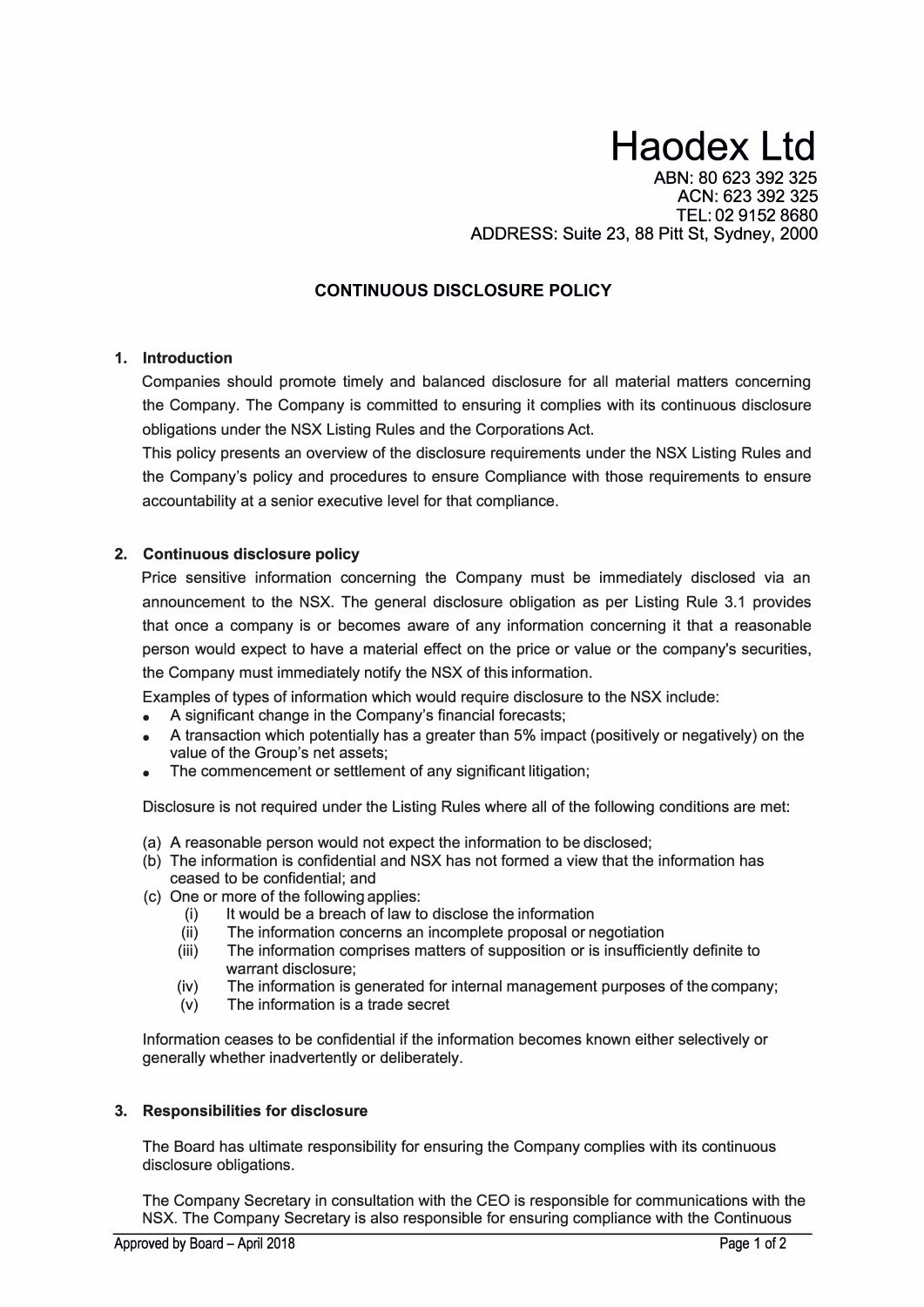# **Haodex Ltd**

ABN: 80 623 392 325 ACN: 623 392 325 TEL: 02 9152 8680 ADDRESS: Suite 23, 88 Pitt St, Sydney, 2000

## **CONTINUOUS DISCLOSURE POLICY**

## **1. Introduction**

Companies should promote timely and balanced disclosure for all material matters concerning the Company. The Company is committed to ensuring it complies with its continuous disclosure obligations under the NSX Listing Rules and the Corporations Act.

This policy presents an overview of the disclosure requirements under the NSX Listing Rules and the Company's policy and procedures to ensure Compliance with those requirements to ensure accountability at a senior executive level for that compliance.

## **2. Continuous disclosure policy**

Price sensitive information concerning the Company must be immediately disclosed via an announcement to the NSX. The general disclosure obligation as per Listing Rule 3.1 provides that once a company is or becomes aware of any information concerning it that a reasonable person would expect to have a material effect on the price or value or the company's securities, the Company must immediately notify the NSX of this information.

Examples of types of information which would require disclosure to the NSX include:

- A significant change in the Company's financial forecasts;
- A transaction which potentially has a greater than 5% impact (positively or negatively) on the value of the Group's net assets;
- The commencement or settlement of any significant litigation;

Disclosure is not required under the Listing Rules where all of the following conditions are met:

- (a) A reasonable person would not expect the information to be disclosed;
- (b) The information is confidential and NSX has not formed a view that the information has ceased to be confidential; and
- (c) One or more of the following applies:
	- (i) It would be a breach of law to disclose the information<br>(ii) The information concerns an incomplete proposal or n
	- The information concerns an incomplete proposal or negotiation
	- (iii) The information comprises matters of supposition or is insufficiently definite to warrant disclosure;
	- (iv) The information is generated for internal management purposes of the company;
	- (v) The information is a trade secret

Information ceases to be confidential if the information becomes known either selectively or generally whether inadvertently or deliberately.

## **3. Responsibilities for disclosure**

The Board has ultimate responsibility for ensuring the Company complies with its continuous disclosure obligations.

The Company Secretary in consultation with the CEO is responsible for communications with the NSX. The Company Secretary is also responsible for ensuring compliance with the Continuous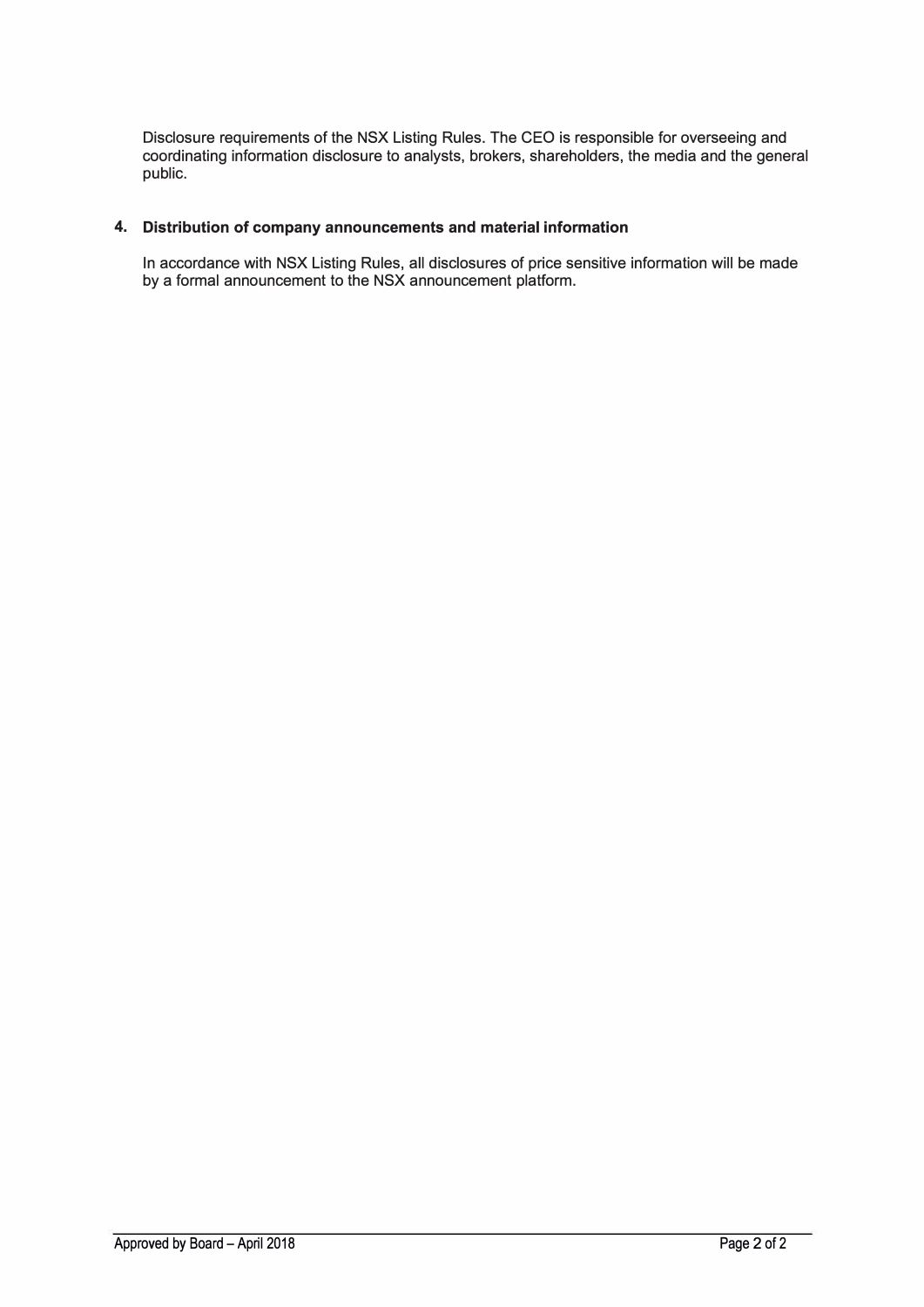Disclosure requirements of the NSX Listing Rules. The CEO is responsible for overseeing and coordinating information disclosure to analysts, brokers, shareholders, the media and the general public.

## **4. Distribution of company announcements and material information**

In accordance with NSX Listing Rules, all disclosures of price sensitive information will be made by a formal announcement to the NSX announcement platform.